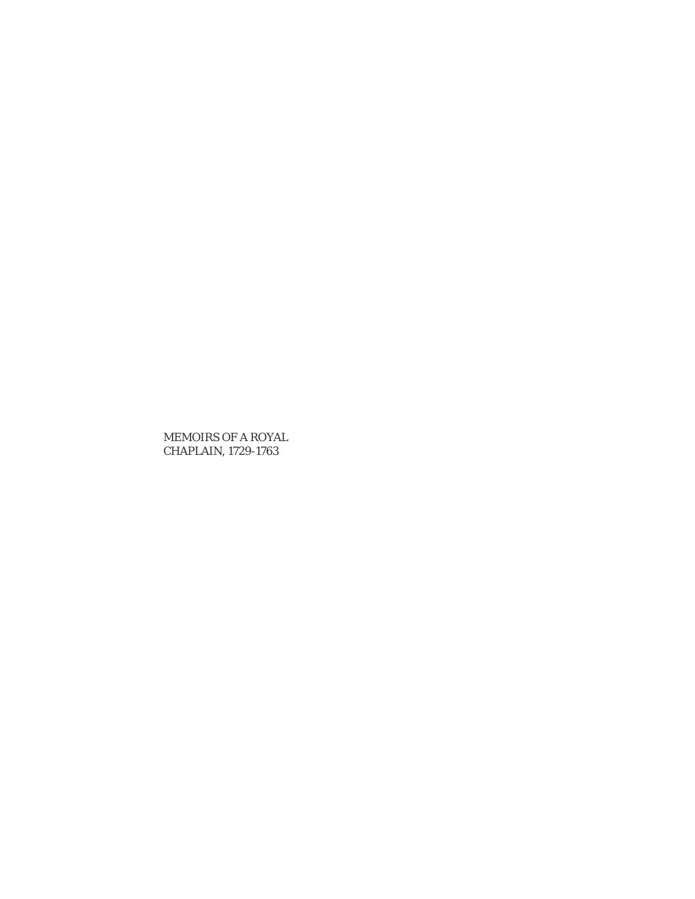MEMOIRS OF A ROYAL CHAPLAIN, 1729-1763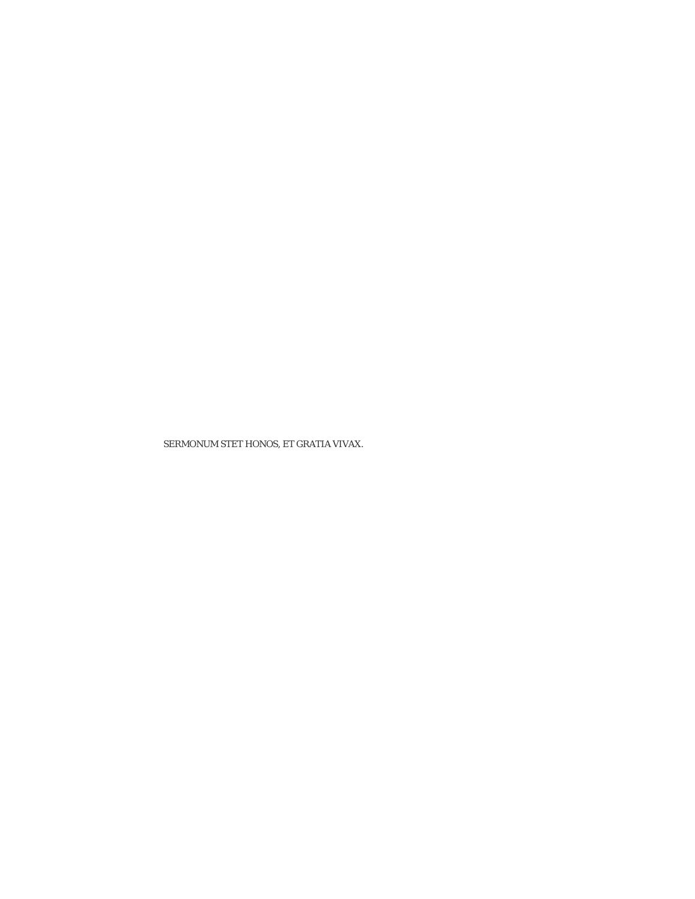SERMONUM STET HONOS, ET GRATIA VIVAX.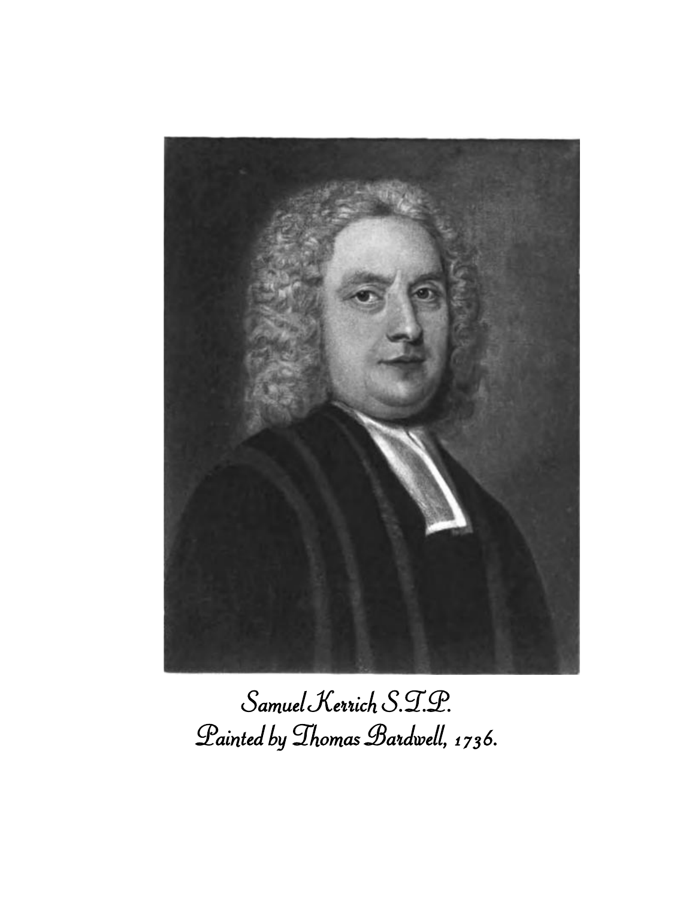

# *Samuel Kerrich S.T.P. Painted by Thomas Bardwell, 1736.*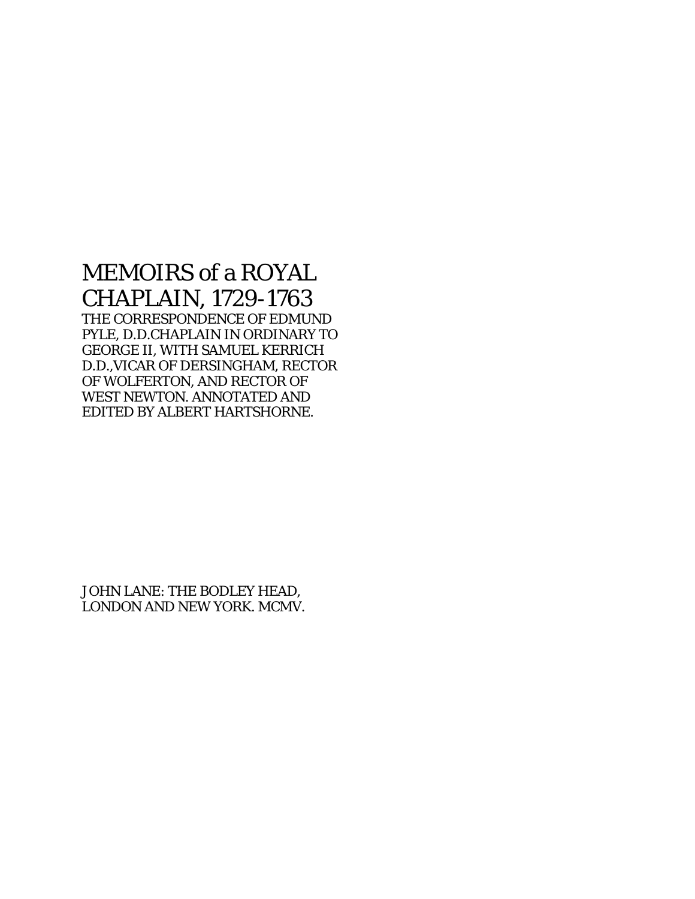# MEMOIRS of a ROYAL CHAPLAIN, 1729-1763

THE CORRESPONDENCE OF EDMUND PYLE, D.D.CHAPLAIN IN ORDINARY TO GEORGE II, WITH SAMUEL KERRICH D.D.,VICAR OF DERSINGHAM, RECTOR OF WOLFERTON, AND RECTOR OF WEST NEWTON. ANNOTATED AND EDITED BY ALBERT HARTSHORNE.

JOHN LANE: THE BODLEY HEAD, LONDON AND NEW YORK. MCMV.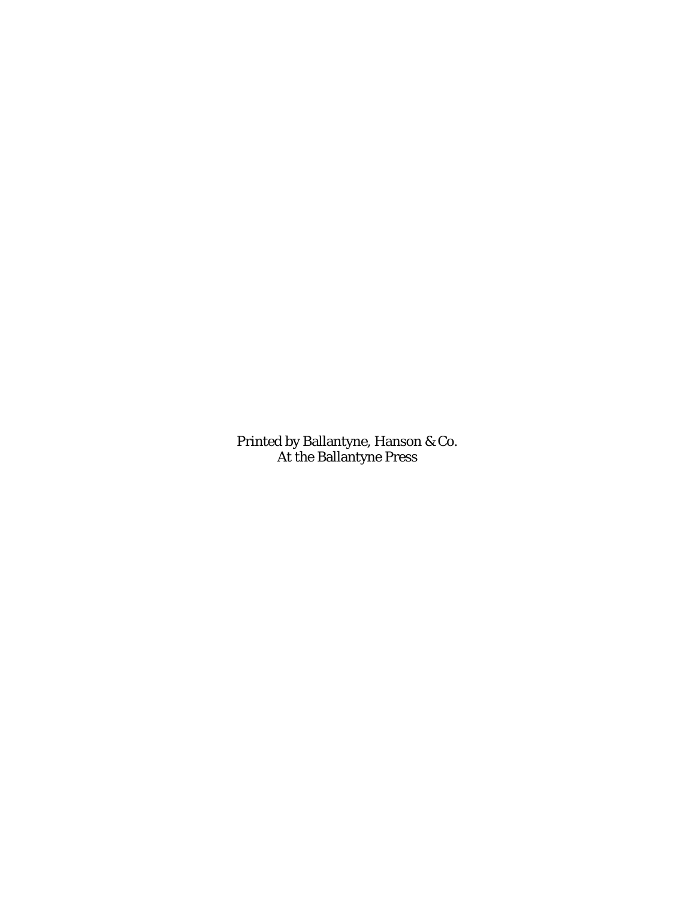Printed by Ballantyne, Hanson & Co. At the Ballantyne Press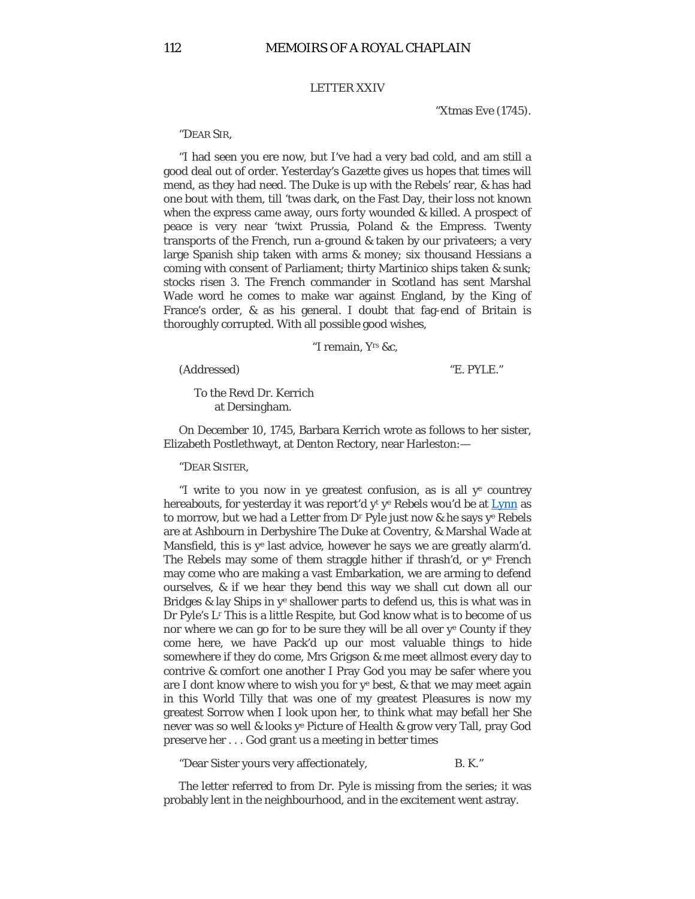# LETTER XXIV

"Xtmas Eve (1745).

#### "DEAR SIR,

"I had seen you ere now, but I've had a very bad cold, and am still a good deal out of order. Yesterday's *Gazette* gives us hopes that times will mend, as they had need. The Duke is up with the Rebels' rear, & has had one bout with them, till 'twas dark, on the Fast Day, their loss not known when the express came away, ours forty wounded & killed. A prospect of peace is very near 'twixt Prussia, Poland & the Empress. Twenty transports of the French, run a-ground & taken by our privateers; a very large Spanish ship taken with arms & money; six thousand Hessians a coming with consent of Parliament; thirty Martinico ships taken & sunk; stocks risen 3. The French commander in Scotland has sent Marshal Wade word he comes to make war against England, by the King of France's order, & as his general. I doubt that fag-end of Britain is thoroughly corrupted. With all possible good wishes,

#### "I remain, Yrs &c,

(Addressed) "E. PYLE."

To the Revd Dr. Kerrich at Dersingham.

On December 10, 1745, Barbara Kerrich wrote as follows to her sister, Elizabeth Postlethwayt, at Denton Rectory, near Harleston:—

"DEAR SISTER,

"I write to you now in ye greatest confusion, as is all  $y^e$  countrey hereabouts, for yesterday it was report'd  $y^t$  y<sup>e</sup> Rebels wou'd be at  $Lymn$  as to morrow, but we had a Letter from Dr Pyle just now & he says ye Rebels are at Ashbourn in Derbyshire The Duke at Coventry, & Marshal Wade at Mansfield, this is ye last advice, however he says we are greatly alarm'd. The Rebels may some of them straggle hither if thrash'd, or  $y^e$  French may come who are making a vast Embarkation, we are arming to defend ourselves, & if we hear they bend this way we shall cut down all our Bridges & lay Ships in ye shallower parts to defend us, this is what was in Dr Pyle's Lr This is a little Respite, but God know what is to become of us nor where we can go for to be sure they will be all over ye County if they come here, we have Pack'd up our most valuable things to hide somewhere if they do come, Mrs Grigson & me meet allmost every day to contrive & comfort one another I Pray God you may be safer where you are I dont know where to wish you for ye best, & that we may meet again in this World Tilly that was one of my greatest Pleasures is now my greatest Sorrow when I look upon her, to think what may befall her She never was so well & looks ye Picture of Health & grow very Tall, pray God preserve her . . . God grant us a meeting in better times

"Dear Sister yours very affectionately, B. K."

The letter referred to from Dr. Pyle is missing from the series; it was probably lent in the neighbourhood, and in the excitement went astray.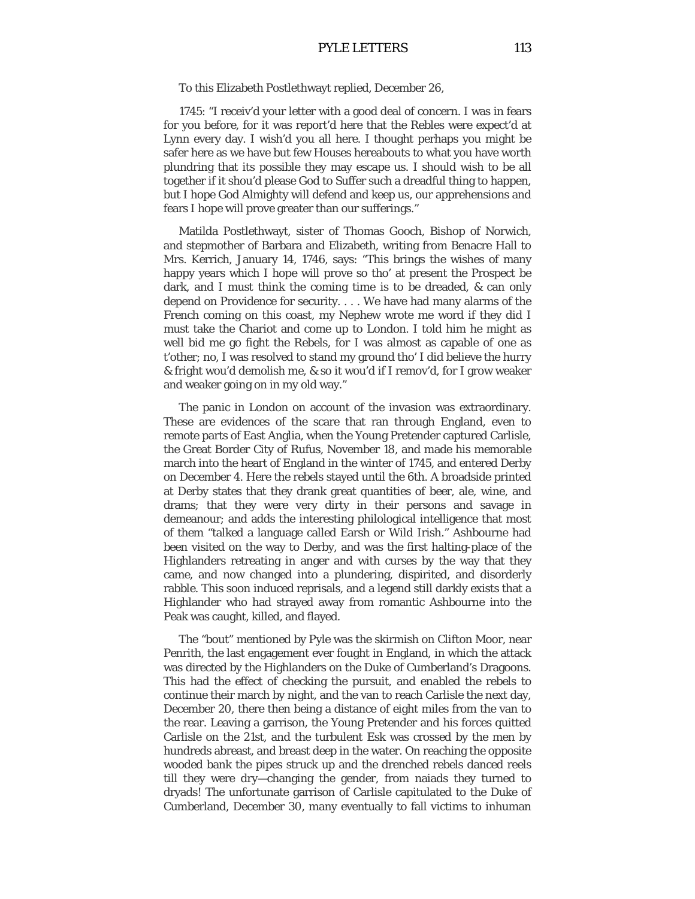# PYLE LETTERS 113

To this Elizabeth Postlethwayt replied, December 26,

1745: "I receiv'd your letter with a good deal of concern. I was in fears for you before, for it was report'd here that the Rebles were expect'd at Lynn every day. I wish'd you all here. I thought perhaps you might be safer here as we have but few Houses hereabouts to what you have worth plundring that its possible they may escape us. I should wish to be all together if it shou'd please God to Suffer such a dreadful thing to happen, but I hope God Almighty will defend and keep us, our apprehensions and fears I hope will prove greater than our sufferings."

Matilda Postlethwayt, sister of Thomas Gooch, Bishop of Norwich, and stepmother of Barbara and Elizabeth, writing from Benacre Hall to Mrs. Kerrich, January 14, 1746, says: "This brings the wishes of many happy years which I hope will prove so tho' at present the Prospect be dark, and I must think the coming time is to be dreaded, & can only depend on Providence for security. . . . We have had many alarms of the French coming on this coast, my Nephew wrote me word if they did I must take the Chariot and come up to London. I told him he might as well bid me go fight the Rebels, for I was almost as capable of one as t'other; no, I was resolved to stand my ground tho' I did believe the hurry & fright wou'd demolish me, & so it wou'd if I remov'd, for I grow weaker and weaker going on in my old way."

The panic in London on account of the invasion was extraordinary. These are evidences of the scare that ran through England, even to remote parts of East Anglia, when the Young Pretender captured Carlisle, the Great Border City of Rufus, November 18, and made his memorable march into the heart of England in the winter of 1745, and entered Derby on December 4. Here the rebels stayed until the 6th. A broadside printed at Derby states that they drank great quantities of beer, ale, wine, and drams; that they were very dirty in their persons and savage in demeanour; and adds the interesting philological intelligence that most of them "talked a language called Earsh or Wild Irish." Ashbourne had been visited on the way to Derby, and was the first halting-place of the Highlanders retreating in anger and with curses by the way that they came, and now changed into a plundering, dispirited, and disorderly rabble. This soon induced reprisals, and a legend still darkly exists that a Highlander who had strayed away from romantic Ashbourne into the Peak was caught, killed, and flayed.

The "bout" mentioned by Pyle was the skirmish on Clifton Moor, near Penrith, the last engagement ever fought in England, in which the attack was directed by the Highlanders on the Duke of Cumberland's Dragoons. This had the effect of checking the pursuit, and enabled the rebels to continue their march by night, and the van to reach Carlisle the next day, December 20, there then being a distance of eight miles from the van to the rear. Leaving a garrison, the Young Pretender and his forces quitted Carlisle on the 21st, and the turbulent Esk was crossed by the men by hundreds abreast, and breast deep in the water. On reaching the opposite wooded bank the pipes struck up and the drenched rebels danced reels till they were dry—changing the gender, from naiads they turned to dryads! The unfortunate garrison of Carlisle capitulated to the Duke of Cumberland, December 30, many eventually to fall victims to inhuman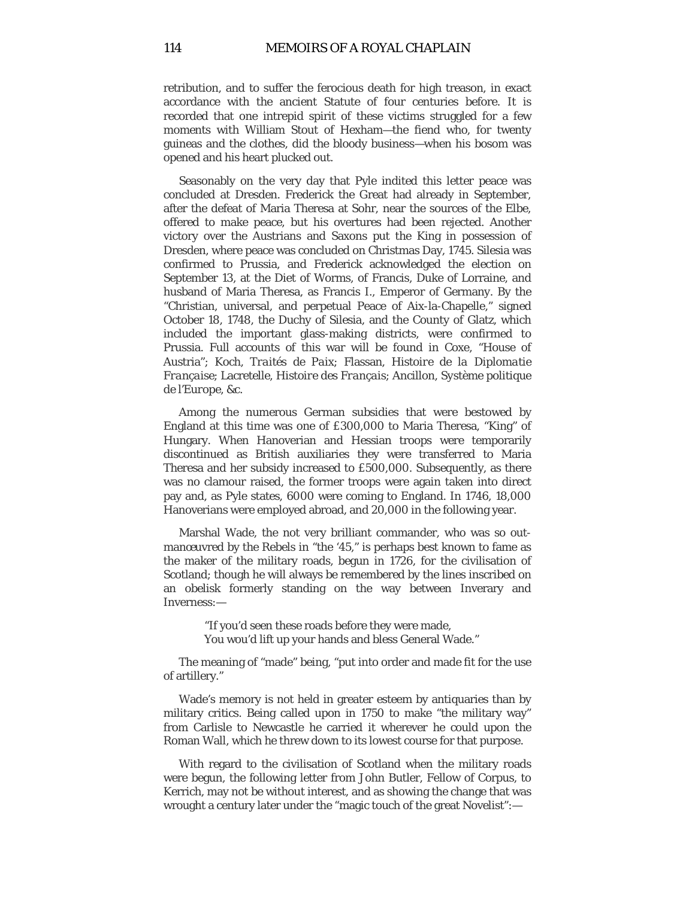retribution, and to suffer the ferocious death for high treason, in exact accordance with the ancient Statute of four centuries before. It is recorded that one intrepid spirit of these victims struggled for a few moments with William Stout of Hexham—the fiend who, for twenty guineas and the clothes, did the bloody business—when his bosom was opened and his heart plucked out.

Seasonably on the very day that Pyle indited this letter peace was concluded at Dresden. Frederick the Great had already in September, after the defeat of Maria Theresa at Sohr, near the sources of the Elbe, offered to make peace, but his overtures had been rejected. Another victory over the Austrians and Saxons put the King in possession of Dresden, where peace was concluded on Christmas Day, 1745. Silesia was confirmed to Prussia, and Frederick acknowledged the election on September 13, at the Diet of Worms, of Francis, Duke of Lorraine, and husband of Maria Theresa, as Francis I., Emperor of Germany. By the "Christian, universal, and perpetual Peace of Aix-la-Chapelle," signed October 18, 1748, the Duchy of Silesia, and the County of Glatz, which included the important glass-making districts, were confirmed to Prussia. Full accounts of this war will be found in Coxe, "House of Austria"; Koch, *Traités de Paix*; Flassan, *Histoire de la Diplomatie Française*; Lacretelle, *Histoire des Français*; Ancillon, *Système politique de l'Europe,* &c.

Among the numerous German subsidies that were bestowed by England at this time was one of £300,000 to Maria Theresa, "King" of Hungary. When Hanoverian and Hessian troops were temporarily discontinued as British auxiliaries they were transferred to Maria Theresa and her subsidy increased to £500,000. Subsequently, as there was no clamour raised, the former troops were again taken into direct pay and, as Pyle states, 6000 were coming to England. In 1746, 18,000 Hanoverians were employed abroad, and 20,000 in the following year.

Marshal Wade, the not very brilliant commander, who was so outmanœuvred by the Rebels in "the '45," is perhaps best known to fame as the maker of the military roads, begun in 1726, for the civilisation of Scotland; though he will always be remembered by the lines inscribed on an obelisk formerly standing on the way between Inverary and Inverness:—

> "If you'd seen these roads before they were made, You wou'd lift up your hands and bless General Wade."

The meaning of "made" being, "put into order and made fit for the use of artillery."

Wade's memory is not held in greater esteem by antiquaries than by military critics. Being called upon in 1750 to make "the military way" from Carlisle to Newcastle he carried it wherever he could upon the Roman Wall, which he threw down to its lowest course for that purpose.

With regard to the civilisation of Scotland when the military roads were begun, the following letter from John Butler, Fellow of Corpus, to Kerrich, may not be without interest, and as showing the change that was wrought a century later under the "magic touch of the great Novelist":—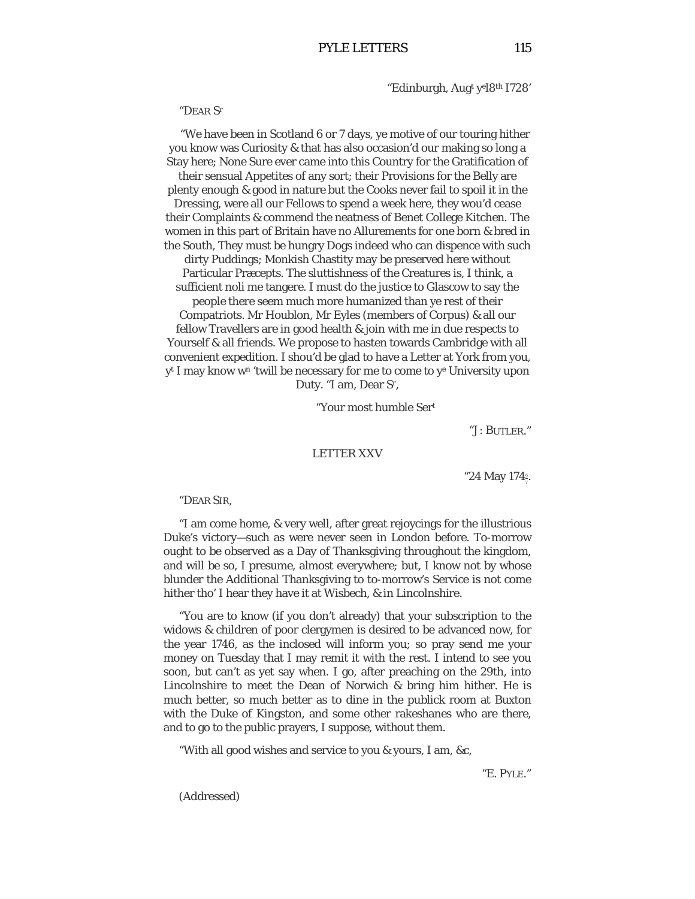"Edinburgh, Augt yel8th I728'

"DEAR Sr

"We have been in Scotland 6 or 7 days, ye motive of our touring hither you know was Curiosity & that has also occasion'd our making so long a Stay here; None Sure ever came into this Country for the Gratification of their sensual Appetites of any sort; their Provisions for the Belly are plenty enough & good in nature but the Cooks never fail to spoil it in the Dressing, were all our Fellows to spend a week here, they wou'd cease their Complaints & commend the neatness of Benet College Kitchen. The women in this part of Britain have no Allurements for one born & bred in the South, They must be hungry Dogs indeed who can dispence with such

dirty Puddings; Monkish Chastity may be preserved here without Particular Præcepts. The sluttishness of the Creatures is, I think, a sufficient noli me tangere. I must do the justice to Glascow to say the

people there seem much more humanized than ye rest of their Compatriots. Mr Houblon, Mr Eyles (members of Corpus) & all our fellow Travellers are in good health & join with me in due respects to Yourself & all friends. We propose to hasten towards Cambridge with all convenient expedition. I shou'd be glad to have a Letter at York from you, yt I may know wn 'twill be necessary for me to come to ye University upon Duty. "I am, Dear Sr,

"Your most humble Sert

"J: BUTLER."

## LETTER XXV

"24 May 174 $\frac{6}{7}$ . 7

#### "DEAR SIR,

"I am come home, & very well, after great rejoycings for the illustrious Duke's victory—such as were never seen in London before. To-morrow ought to be observed as a Day of Thanksgiving throughout the kingdom, and will be so, I presume, almost everywhere; but, I know not by whose blunder the Additional Thanksgiving to to-morrow's Service is not come hither tho' I hear they have it at Wisbech, & in Lincolnshire.

"You are to know (if you don't already) that your subscription to the widows & children of poor clergymen is desired to be advanced now, for the year 1746, as the inclosed will inform you; so pray send me your money on Tuesday that I may remit it with the rest. I intend to see you soon, but can't as yet say when. I go, after preaching on the 29th, into Lincolnshire to meet the Dean of Norwich & bring him hither. He is much better, so much better as to dine in the publick room at Buxton with the Duke of Kingston, and some other rakeshanes who are there, and to go to the public prayers, I suppose, without them.

"With all good wishes and service to you & yours, I am, &c,

"E. PYLE."

(Addressed)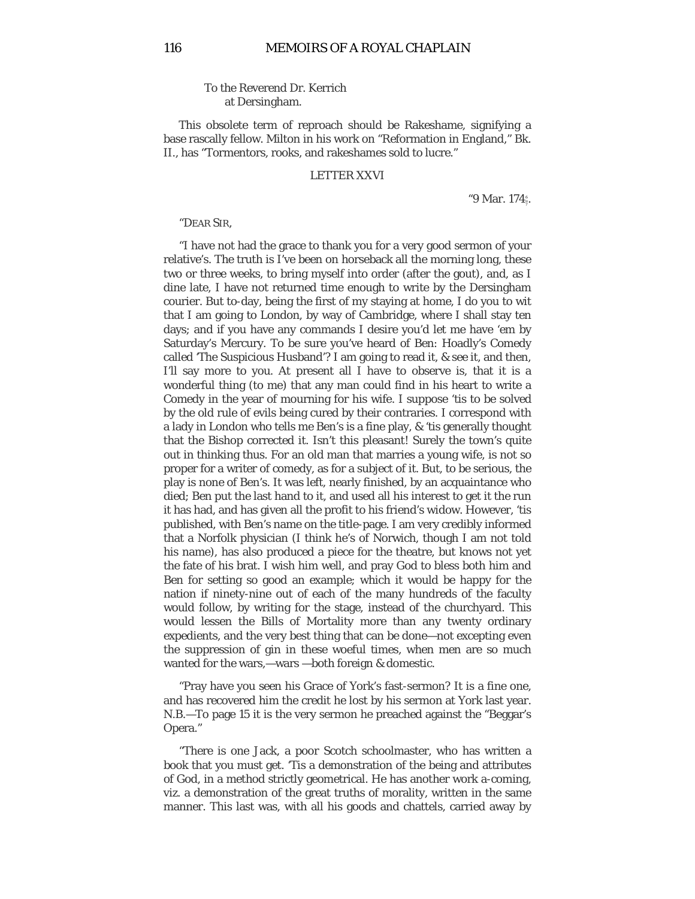# To the Reverend Dr. Kerrich at Dersingham.

This obsolete term of reproach should be Rakeshame, signifying a base rascally fellow. Milton in his work on "Reformation in England," Bk. II., has "Tormentors, rooks, and rakeshames sold to lucre."

### LETTER XXVI

"9 Mar. 174 $\frac{1}{7}$ . 7

#### "DEAR SIR,

"I have not had the grace to thank you for a very good sermon of your relative's. The truth is I've been on horseback all the morning long, these two or three weeks, to bring myself into order (after the gout), and, as I dine late, I have not returned time enough to write by the Dersingham courier. But to-day, being the first of my staying at home, I do you to wit that I am going to London, by way of Cambridge, where I shall stay ten days; and if you have any commands I desire you'd let me have 'em by Saturday's Mercury. To be sure you've heard of Ben: Hoadly's Comedy called 'The Suspicious Husband'? I am going to read it, & see it, and then, I'll say more to you. At present all I have to observe is, that it is a wonderful thing (to me) that any man could find in his heart to write a Comedy in the year of mourning for his wife. I suppose 'tis to be solved by the old rule of evils being cured by their contraries. I correspond with a lady in London who tells me Ben's is a fine play, & 'tis generally thought that the Bishop corrected it. Isn't this pleasant! Surely the town's quite out in thinking thus. For an old man that marries a young wife, is not so proper for a writer of comedy, as for a subject of it. But, to be serious, the play is none of Ben's. It was left, nearly finished, by an acquaintance who died; Ben put the last hand to it, and used all his interest to get it the run it has had, and has given all the profit to his friend's widow. However, 'tis published, with Ben's name on the title-page. I am very credibly informed that a Norfolk physician (I think he's of Norwich, though I am not told his name), has also produced a piece for the theatre, but knows not yet the fate of his brat. I wish him well, and pray God to bless both him and Ben for setting so good an example; which it would be happy for the nation if ninety-nine out of each of the many hundreds of the faculty would follow, by writing for the stage, instead of the churchyard. This would lessen the Bills of Mortality more than any twenty ordinary expedients, and the very best thing that can be done—not excepting even the suppression of gin in these woeful times, when men are so much wanted for the wars,—wars —both foreign & domestic.

"Pray have you seen his Grace of York's fast-sermon? It is a fine one, and has recovered him the credit he lost by his sermon at York last year. N.B.—To page 15 it is the very sermon he preached against the "Beggar's Opera."

"There is one Jack, a poor Scotch schoolmaster, who has written a book that you must get. 'Tis a demonstration of the being and attributes of God, in a method strictly geometrical. He has another work a-coming, viz. a demonstration of the great truths of morality, written in the same manner. This last was, with all his goods and chattels, carried away by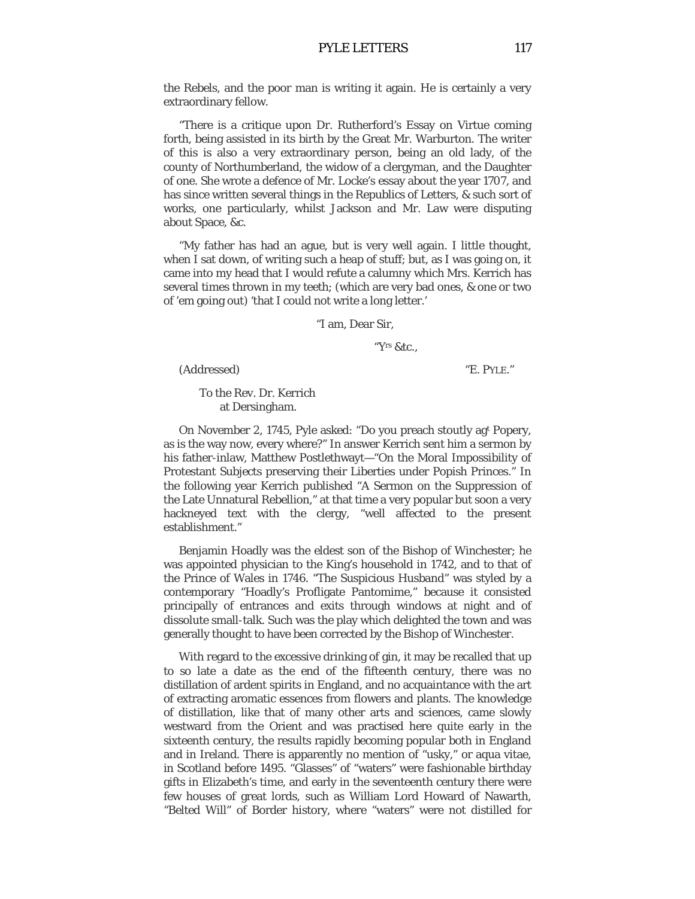the Rebels, and the poor man is writing it again. He is certainly a very extraordinary fellow.

"There is a critique upon Dr. Rutherford's Essay on Virtue coming forth, being assisted in its birth by the Great Mr. Warburton. The writer of this is also a very extraordinary person, being an old lady, of the county of Northumberland, the widow of a clergyman, and the Daughter of one. She wrote a defence of Mr. Locke's essay about the year 1707, and has since written several things in the Republics of Letters, & such sort of works, one particularly, whilst Jackson and Mr. Law were disputing about Space, &c.

"My father has had an ague, but is very well again. I little thought, when I sat down, of writing such a heap of stuff; but, as I was going on, it came into my head that I would refute a calumny which Mrs. Kerrich has several times thrown in my teeth; (which are very bad ones, & one or two of 'em going out) 'that I could not write a long letter.'

"I am, Dear Sir,

"Yrs &tc.,

(Addressed) "E. PYLE."

To the Rev. Dr. Kerrich at Dersingham.

On November 2, 1745, Pyle asked: "Do you preach stoutly agt Popery, as is the way now, every where?" In answer Kerrich sent him a sermon by his father-inlaw, Matthew Postlethwayt—"On the Moral Impossibility of Protestant Subjects preserving their Liberties under Popish Princes." In the following year Kerrich published "A Sermon on the Suppression of the Late Unnatural Rebellion," at that time a very popular but soon a very hackneyed text with the clergy, "well affected to the present establishment."

Benjamin Hoadly was the eldest son of the Bishop of Winchester; he was appointed physician to the King's household in 1742, and to that of the Prince of Wales in 1746. "The Suspicious Husband" was styled by a contemporary "Hoadly's Profligate Pantomime," because it consisted principally of entrances and exits through windows at night and of dissolute small-talk. Such was the play which delighted the town and was generally thought to have been corrected by the Bishop of Winchester.

With regard to the excessive drinking of gin, it may be recalled that up to so late a date as the end of the fifteenth century, there was no distillation of ardent spirits in England, and no acquaintance with the art of extracting aromatic essences from flowers and plants. The knowledge of distillation, like that of many other arts and sciences, came slowly westward from the Orient and was practised here quite early in the sixteenth century, the results rapidly becoming popular both in England and in Ireland. There is apparently no mention of "usky," or aqua vitae, in Scotland before 1495. "Glasses" of "waters" were fashionable birthday gifts in Elizabeth's time, and early in the seventeenth century there were few houses of great lords, such as William Lord Howard of Nawarth, "Belted Will" of Border history, where "waters" were not distilled for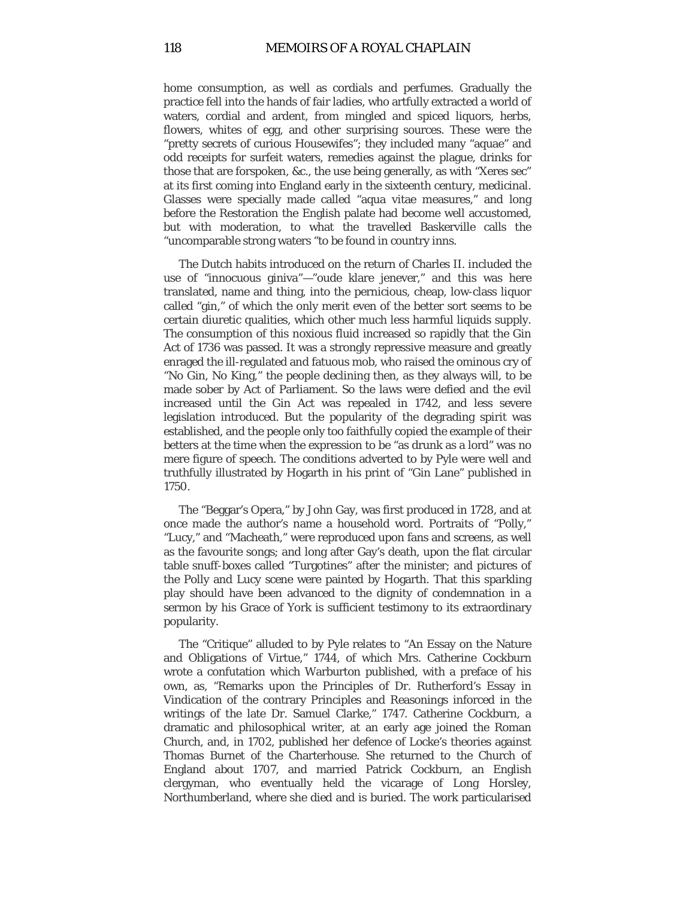home consumption, as well as cordials and perfumes. Gradually the practice fell into the hands of fair ladies, who artfully extracted a world of waters, cordial and ardent, from mingled and spiced liquors, herbs, flowers, whites of egg, and other surprising sources. These were the "pretty secrets of curious Housewifes"; they included many "aquae" and odd receipts for surfeit waters, remedies against the plague, drinks for those that are forspoken, &c., the use being generally, as with "Xeres sec" at its first coming into England early in the sixteenth century, medicinal. Glasses were specially made called "aqua vitae measures," and long before the Restoration the English palate had become well accustomed, but with moderation, to what the travelled Baskerville calls the "uncomparable strong waters "to be found in country inns.

The Dutch habits introduced on the return of Charles II. included the use of "innocuous giniva"—"oude klare jenever," and this was here translated, name and thing, into the pernicious, cheap, low-class liquor called "gin," of which the only merit even of the better sort seems to be certain diuretic qualities, which other much less harmful liquids supply. The consumption of this noxious fluid increased so rapidly that the Gin Act of 1736 was passed. It was a strongly repressive measure and greatly enraged the ill-regulated and fatuous mob, who raised the ominous cry of "No Gin, No King," the people declining then, as they always will, to be made sober by Act of Parliament. So the laws were defied and the evil increased until the Gin Act was repealed in 1742, and less severe legislation introduced. But the popularity of the degrading spirit was established, and the people only too faithfully copied the example of their betters at the time when the expression to be "as drunk as a lord" was no mere figure of speech. The conditions adverted to by Pyle were well and truthfully illustrated by Hogarth in his print of "Gin Lane" published in 1750.

The "Beggar's Opera," by John Gay, was first produced in 1728, and at once made the author's name a household word. Portraits of "Polly," "Lucy," and "Macheath," were reproduced upon fans and screens, as well as the favourite songs; and long after Gay's death, upon the flat circular table snuff-boxes called "Turgotines" after the minister; and pictures of the Polly and Lucy scene were painted by Hogarth. That this sparkling play should have been advanced to the dignity of condemnation in a sermon by his Grace of York is sufficient testimony to its extraordinary popularity.

The "Critique" alluded to by Pyle relates to "An Essay on the Nature and Obligations of Virtue," 1744, of which Mrs. Catherine Cockburn wrote a confutation which Warburton published, with a preface of his own, as, "Remarks upon the Principles of Dr. Rutherford's Essay in Vindication of the contrary Principles and Reasonings inforced in the writings of the late Dr. Samuel Clarke," 1747. Catherine Cockburn, a dramatic and philosophical writer, at an early age joined the Roman Church, and, in 1702, published her defence of Locke's theories against Thomas Burnet of the Charterhouse. She returned to the Church of England about 1707, and married Patrick Cockburn, an English clergyman, who eventually held the vicarage of Long Horsley, Northumberland, where she died and is buried. The work particularised